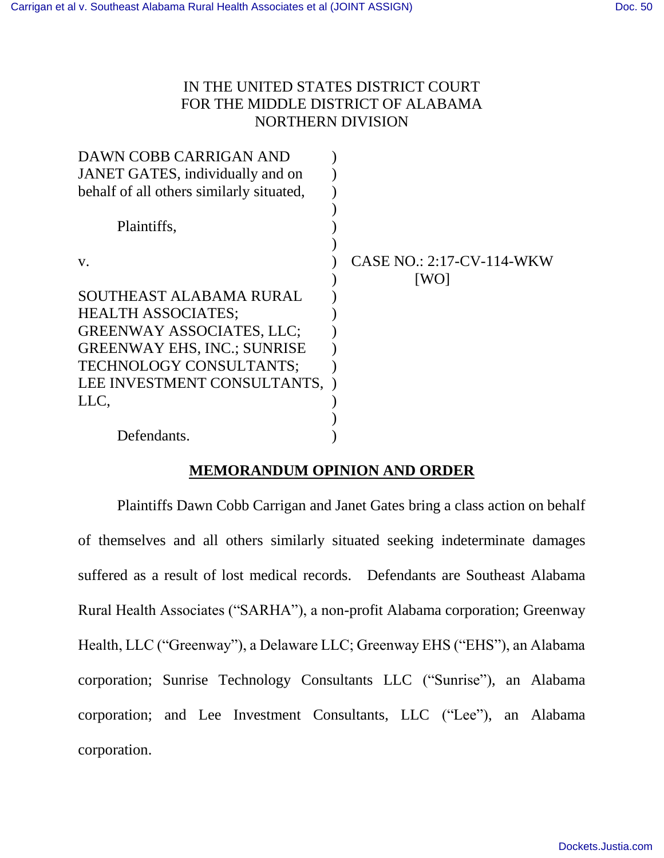# IN THE UNITED STATES DISTRICT COURT FOR THE MIDDLE DISTRICT OF ALABAMA NORTHERN DIVISION

| DAWN COBB CARRIGAN AND                   |                           |
|------------------------------------------|---------------------------|
| JANET GATES, individually and on         |                           |
| behalf of all others similarly situated, |                           |
|                                          |                           |
| Plaintiffs,                              |                           |
|                                          |                           |
| V.                                       | CASE NO.: 2:17-CV-114-WKW |
|                                          | [WO]                      |
| SOUTHEAST ALABAMA RURAL                  |                           |
| <b>HEALTH ASSOCIATES;</b>                |                           |
| <b>GREENWAY ASSOCIATES, LLC;</b>         |                           |
| <b>GREENWAY EHS, INC.; SUNRISE</b>       |                           |
| TECHNOLOGY CONSULTANTS;                  |                           |
| LEE INVESTMENT CONSULTANTS,              |                           |
| LLC,                                     |                           |
|                                          |                           |
| Defendants.                              |                           |

# **MEMORANDUM OPINION AND ORDER**

Plaintiffs Dawn Cobb Carrigan and Janet Gates bring a class action on behalf of themselves and all others similarly situated seeking indeterminate damages suffered as a result of lost medical records. Defendants are Southeast Alabama Rural Health Associates ("SARHA"), a non-profit Alabama corporation; Greenway Health, LLC ("Greenway"), a Delaware LLC; Greenway EHS ("EHS"), an Alabama corporation; Sunrise Technology Consultants LLC ("Sunrise"), an Alabama corporation; and Lee Investment Consultants, LLC ("Lee"), an Alabama corporation.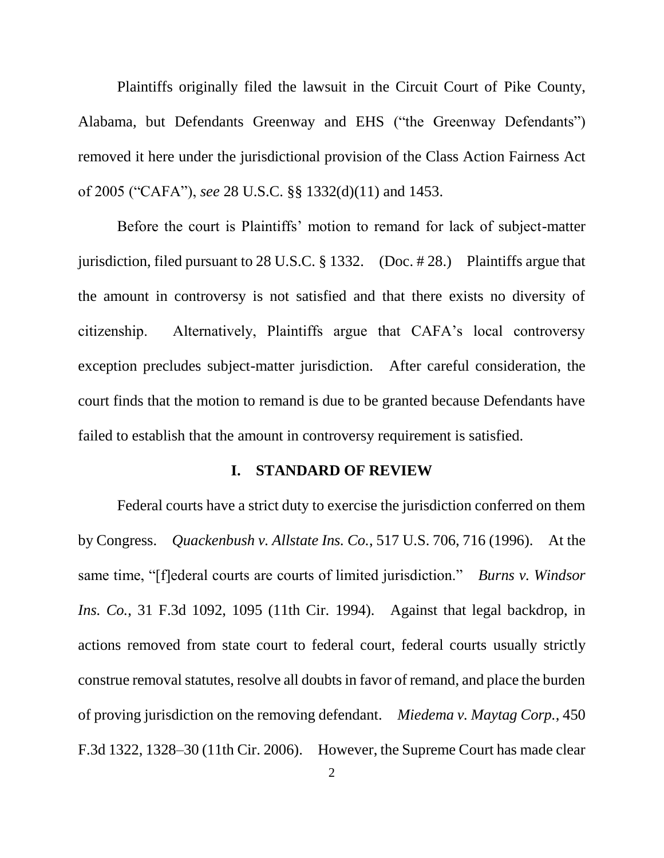Plaintiffs originally filed the lawsuit in the Circuit Court of Pike County, Alabama, but Defendants Greenway and EHS ("the Greenway Defendants") removed it here under the jurisdictional provision of the Class Action Fairness Act of 2005 ("CAFA"), *see* 28 U.S.C. §§ 1332(d)(11) and 1453.

Before the court is Plaintiffs' motion to remand for lack of subject-matter jurisdiction, filed pursuant to 28 U.S.C. § 1332. (Doc. # 28.) Plaintiffs argue that the amount in controversy is not satisfied and that there exists no diversity of citizenship. Alternatively, Plaintiffs argue that CAFA's local controversy exception precludes subject-matter jurisdiction. After careful consideration, the court finds that the motion to remand is due to be granted because Defendants have failed to establish that the amount in controversy requirement is satisfied.

### **I. STANDARD OF REVIEW**

Federal courts have a strict duty to exercise the jurisdiction conferred on them by Congress. *Quackenbush v. Allstate Ins. Co.*, 517 U.S. 706, 716 (1996). At the same time, "[f]ederal courts are courts of limited jurisdiction." *Burns v. Windsor Ins. Co.*, 31 F.3d 1092, 1095 (11th Cir. 1994). Against that legal backdrop, in actions removed from state court to federal court, federal courts usually strictly construe removal statutes, resolve all doubts in favor of remand, and place the burden of proving jurisdiction on the removing defendant. *Miedema v. Maytag Corp.*, 450 F.3d 1322, 1328–30 (11th Cir. 2006). However, the Supreme Court has made clear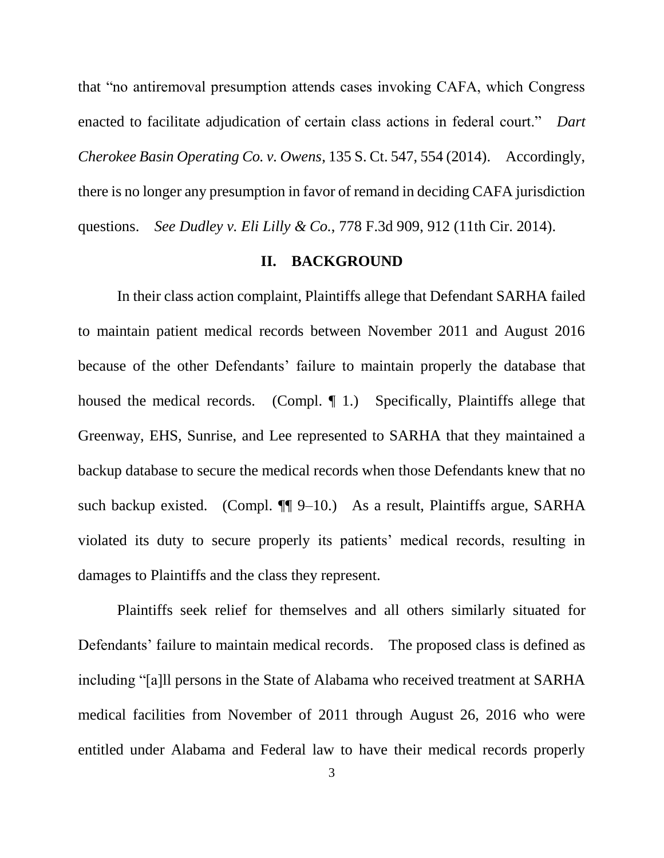that "no antiremoval presumption attends cases invoking CAFA, which Congress enacted to facilitate adjudication of certain class actions in federal court." *Dart Cherokee Basin Operating Co. v. Owens*, 135 S. Ct. 547, 554 (2014). Accordingly, there is no longer any presumption in favor of remand in deciding CAFA jurisdiction questions. *See Dudley v. Eli Lilly & Co.*, 778 F.3d 909, 912 (11th Cir. 2014).

#### **II. BACKGROUND**

In their class action complaint, Plaintiffs allege that Defendant SARHA failed to maintain patient medical records between November 2011 and August 2016 because of the other Defendants' failure to maintain properly the database that housed the medical records. (Compl. 1.) Specifically, Plaintiffs allege that Greenway, EHS, Sunrise, and Lee represented to SARHA that they maintained a backup database to secure the medical records when those Defendants knew that no such backup existed. (Compl. ¶¶ 9–10.) As a result, Plaintiffs argue, SARHA violated its duty to secure properly its patients' medical records, resulting in damages to Plaintiffs and the class they represent.

Plaintiffs seek relief for themselves and all others similarly situated for Defendants' failure to maintain medical records. The proposed class is defined as including "[a]ll persons in the State of Alabama who received treatment at SARHA medical facilities from November of 2011 through August 26, 2016 who were entitled under Alabama and Federal law to have their medical records properly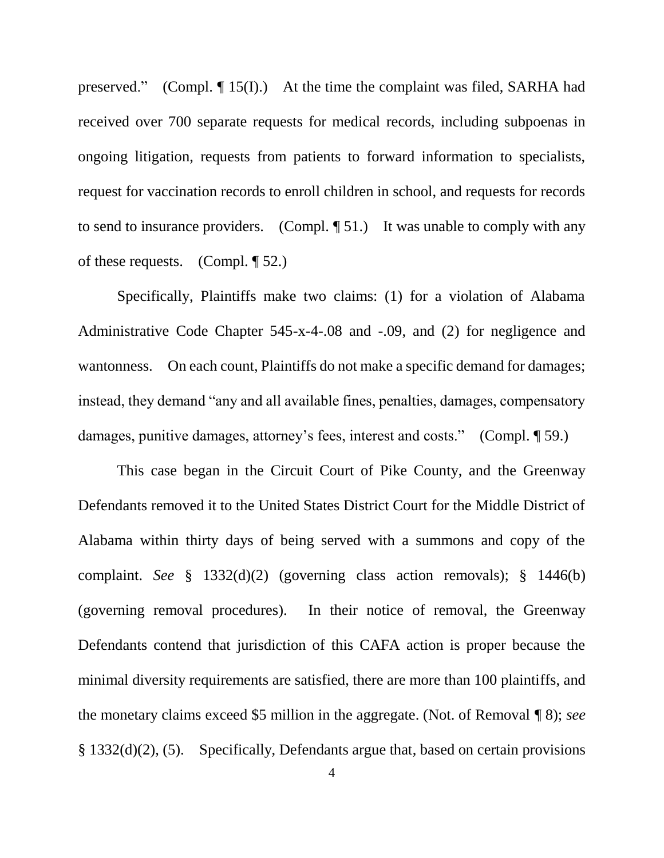preserved." (Compl. ¶ 15(I).) At the time the complaint was filed, SARHA had received over 700 separate requests for medical records, including subpoenas in ongoing litigation, requests from patients to forward information to specialists, request for vaccination records to enroll children in school, and requests for records to send to insurance providers. (Compl. ¶ 51.) It was unable to comply with any of these requests. (Compl.  $\P$  52.)

Specifically, Plaintiffs make two claims: (1) for a violation of Alabama Administrative Code Chapter 545-x-4-.08 and -.09, and (2) for negligence and wantonness. On each count, Plaintiffs do not make a specific demand for damages; instead, they demand "any and all available fines, penalties, damages, compensatory damages, punitive damages, attorney's fees, interest and costs." (Compl. ¶ 59.)

This case began in the Circuit Court of Pike County, and the Greenway Defendants removed it to the United States District Court for the Middle District of Alabama within thirty days of being served with a summons and copy of the complaint. *See* § 1332(d)(2) (governing class action removals); § 1446(b) (governing removal procedures). In their notice of removal, the Greenway Defendants contend that jurisdiction of this CAFA action is proper because the minimal diversity requirements are satisfied, there are more than 100 plaintiffs, and the monetary claims exceed \$5 million in the aggregate. (Not. of Removal ¶ 8); *see* § 1332(d)(2), (5). Specifically, Defendants argue that, based on certain provisions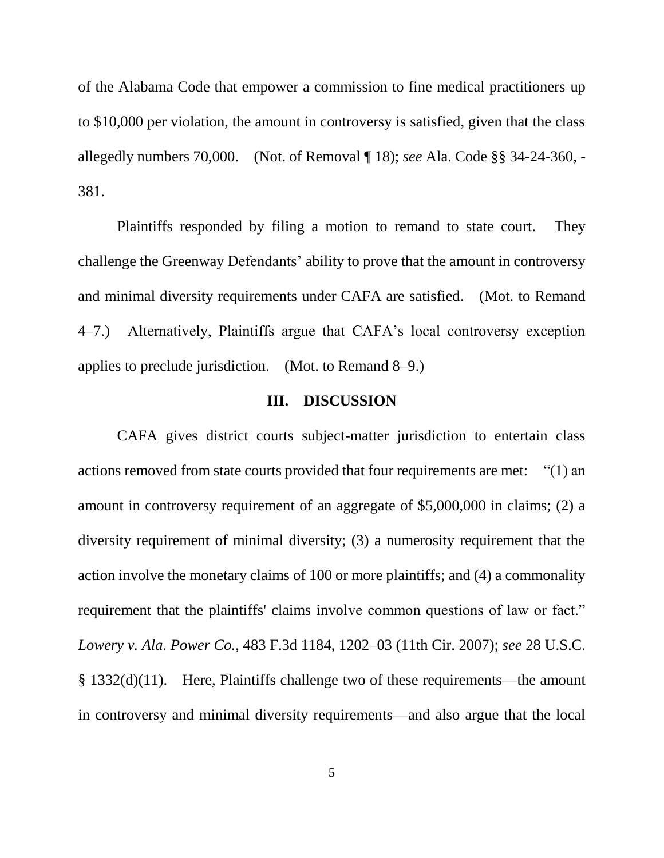of the Alabama Code that empower a commission to fine medical practitioners up to \$10,000 per violation, the amount in controversy is satisfied, given that the class allegedly numbers 70,000. (Not. of Removal ¶ 18); *see* Ala. Code §§ 34-24-360, - 381.

Plaintiffs responded by filing a motion to remand to state court. They challenge the Greenway Defendants' ability to prove that the amount in controversy and minimal diversity requirements under CAFA are satisfied. (Mot. to Remand 4–7.) Alternatively, Plaintiffs argue that CAFA's local controversy exception applies to preclude jurisdiction. (Mot. to Remand 8–9.)

## **III. DISCUSSION**

CAFA gives district courts subject-matter jurisdiction to entertain class actions removed from state courts provided that four requirements are met: "(1) an amount in controversy requirement of an aggregate of \$5,000,000 in claims; (2) a diversity requirement of minimal diversity; (3) a numerosity requirement that the action involve the monetary claims of 100 or more plaintiffs; and (4) a commonality requirement that the plaintiffs' claims involve common questions of law or fact." *Lowery v. Ala. Power Co.*, 483 F.3d 1184, 1202–03 (11th Cir. 2007); *see* 28 U.S.C. § 1332(d)(11). Here, Plaintiffs challenge two of these requirements—the amount in controversy and minimal diversity requirements—and also argue that the local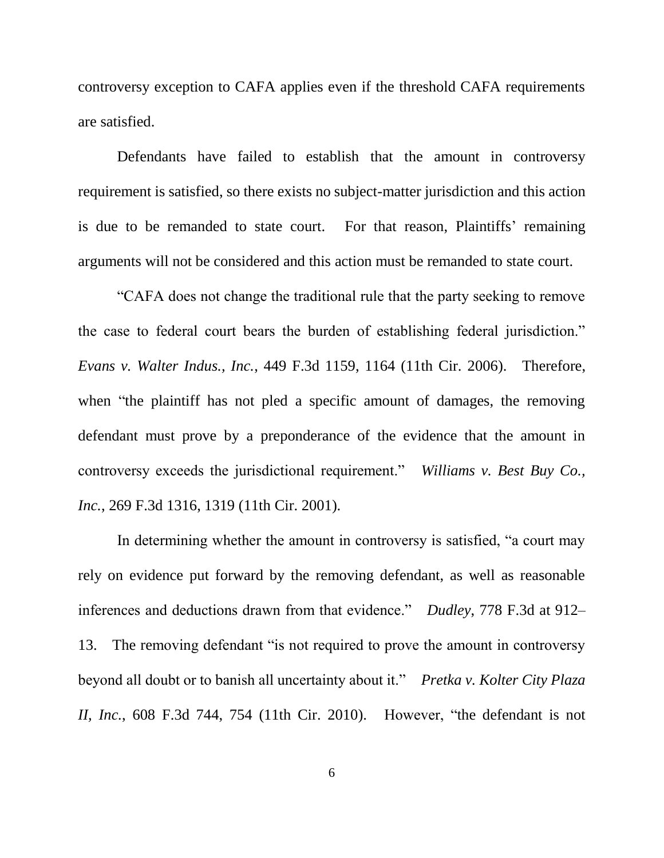controversy exception to CAFA applies even if the threshold CAFA requirements are satisfied.

Defendants have failed to establish that the amount in controversy requirement is satisfied, so there exists no subject-matter jurisdiction and this action is due to be remanded to state court. For that reason, Plaintiffs' remaining arguments will not be considered and this action must be remanded to state court.

"CAFA does not change the traditional rule that the party seeking to remove the case to federal court bears the burden of establishing federal jurisdiction." *Evans v. Walter Indus., Inc.*, 449 F.3d 1159, 1164 (11th Cir. 2006). Therefore, when "the plaintiff has not pled a specific amount of damages, the removing defendant must prove by a preponderance of the evidence that the amount in controversy exceeds the jurisdictional requirement." *Williams v. Best Buy Co., Inc.*, 269 F.3d 1316, 1319 (11th Cir. 2001).

In determining whether the amount in controversy is satisfied, "a court may rely on evidence put forward by the removing defendant, as well as reasonable inferences and deductions drawn from that evidence." *Dudley*, 778 F.3d at 912– 13. The removing defendant "is not required to prove the amount in controversy beyond all doubt or to banish all uncertainty about it." *Pretka v. Kolter City Plaza II, Inc.*, 608 F.3d 744, 754 (11th Cir. 2010). However, "the defendant is not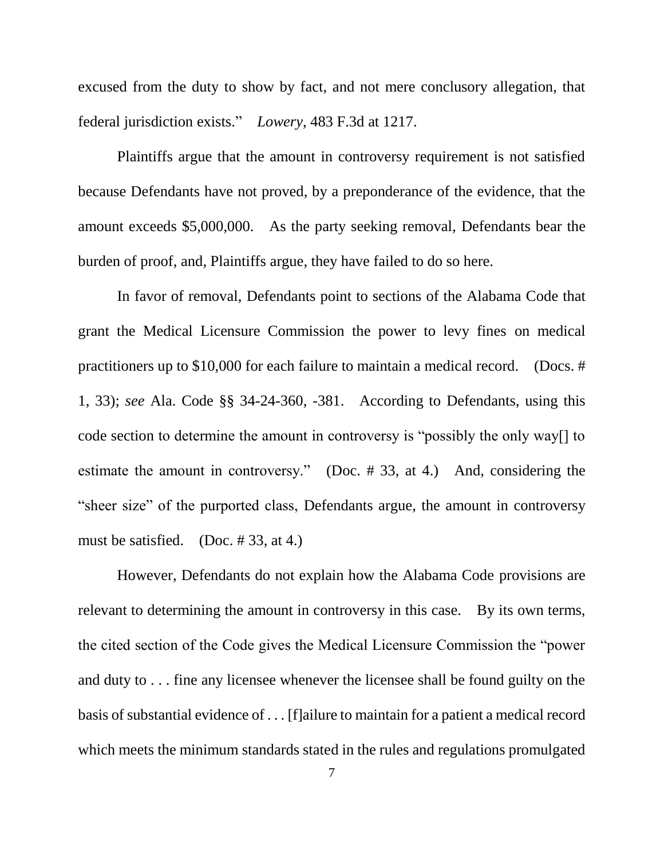excused from the duty to show by fact, and not mere conclusory allegation, that federal jurisdiction exists." *Lowery*, 483 F.3d at 1217.

Plaintiffs argue that the amount in controversy requirement is not satisfied because Defendants have not proved, by a preponderance of the evidence, that the amount exceeds \$5,000,000. As the party seeking removal, Defendants bear the burden of proof, and, Plaintiffs argue, they have failed to do so here.

In favor of removal, Defendants point to sections of the Alabama Code that grant the Medical Licensure Commission the power to levy fines on medical practitioners up to \$10,000 for each failure to maintain a medical record. (Docs. # 1, 33); *see* Ala. Code §§ 34-24-360, -381. According to Defendants, using this code section to determine the amount in controversy is "possibly the only way[] to estimate the amount in controversy." (Doc. # 33, at 4.) And, considering the "sheer size" of the purported class, Defendants argue, the amount in controversy must be satisfied. (Doc. # 33, at 4.)

However, Defendants do not explain how the Alabama Code provisions are relevant to determining the amount in controversy in this case. By its own terms, the cited section of the Code gives the Medical Licensure Commission the "power and duty to . . . fine any licensee whenever the licensee shall be found guilty on the basis of substantial evidence of . . . [f]ailure to maintain for a patient a medical record which meets the minimum standards stated in the rules and regulations promulgated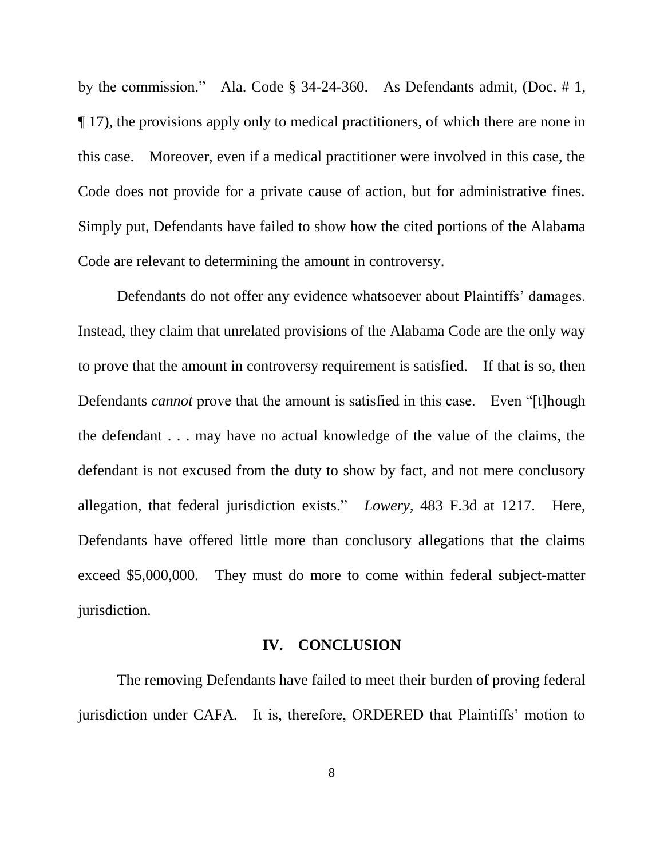by the commission." Ala. Code § 34-24-360. As Defendants admit, (Doc. # 1, ¶ 17), the provisions apply only to medical practitioners, of which there are none in this case. Moreover, even if a medical practitioner were involved in this case, the Code does not provide for a private cause of action, but for administrative fines. Simply put, Defendants have failed to show how the cited portions of the Alabama Code are relevant to determining the amount in controversy.

Defendants do not offer any evidence whatsoever about Plaintiffs' damages. Instead, they claim that unrelated provisions of the Alabama Code are the only way to prove that the amount in controversy requirement is satisfied. If that is so, then Defendants *cannot* prove that the amount is satisfied in this case. Even "[t]hough the defendant . . . may have no actual knowledge of the value of the claims, the defendant is not excused from the duty to show by fact, and not mere conclusory allegation, that federal jurisdiction exists." *Lowery*, 483 F.3d at 1217. Here, Defendants have offered little more than conclusory allegations that the claims exceed \$5,000,000. They must do more to come within federal subject-matter jurisdiction.

## **IV. CONCLUSION**

The removing Defendants have failed to meet their burden of proving federal jurisdiction under CAFA. It is, therefore, ORDERED that Plaintiffs' motion to